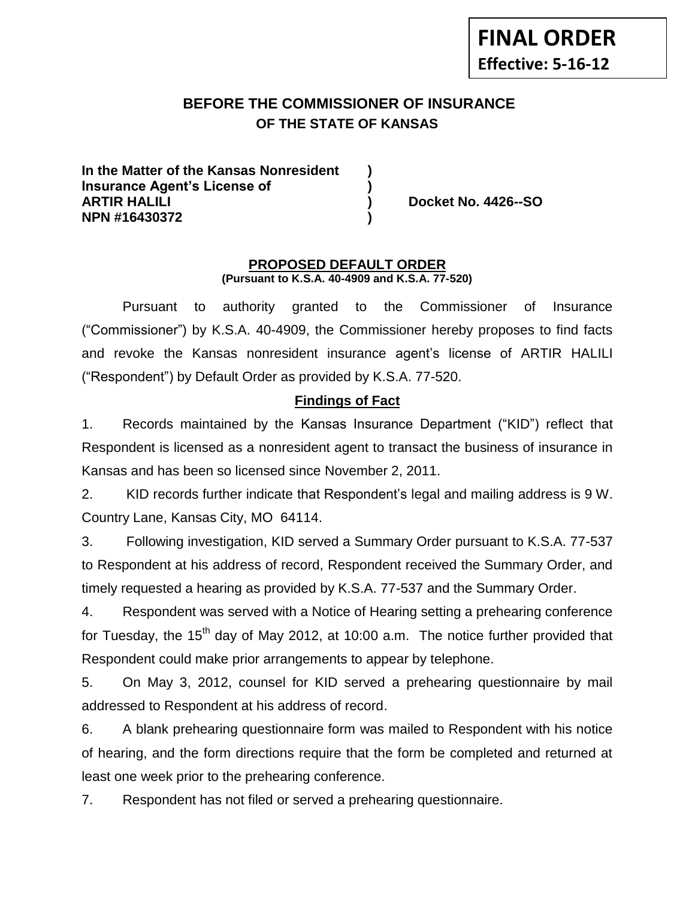# **BEFORE THE COMMISSIONER OF INSURANCE OF THE STATE OF KANSAS**

**In the Matter of the Kansas Nonresident ) Insurance Agent's License of ) ARTIR HALILI ) Docket No. 4426--SO NPN #16430372 )**

#### **PROPOSED DEFAULT ORDER (Pursuant to K.S.A. 40-4909 and K.S.A. 77-520)**

Pursuant to authority granted to the Commissioner of Insurance ("Commissioner") by K.S.A. 40-4909, the Commissioner hereby proposes to find facts and revoke the Kansas nonresident insurance agent's license of ARTIR HALILI ("Respondent") by Default Order as provided by K.S.A. 77-520.

## **Findings of Fact**

1. Records maintained by the Kansas Insurance Department ("KID") reflect that Respondent is licensed as a nonresident agent to transact the business of insurance in Kansas and has been so licensed since November 2, 2011.

2. KID records further indicate that Respondent's legal and mailing address is 9 W. Country Lane, Kansas City, MO 64114.

3. Following investigation, KID served a Summary Order pursuant to K.S.A. 77-537 to Respondent at his address of record, Respondent received the Summary Order, and timely requested a hearing as provided by K.S.A. 77-537 and the Summary Order.

4. Respondent was served with a Notice of Hearing setting a prehearing conference for Tuesday, the 15<sup>th</sup> day of May 2012, at 10:00 a.m. The notice further provided that Respondent could make prior arrangements to appear by telephone.

5. On May 3, 2012, counsel for KID served a prehearing questionnaire by mail addressed to Respondent at his address of record.

6. A blank prehearing questionnaire form was mailed to Respondent with his notice of hearing, and the form directions require that the form be completed and returned at least one week prior to the prehearing conference.

7. Respondent has not filed or served a prehearing questionnaire.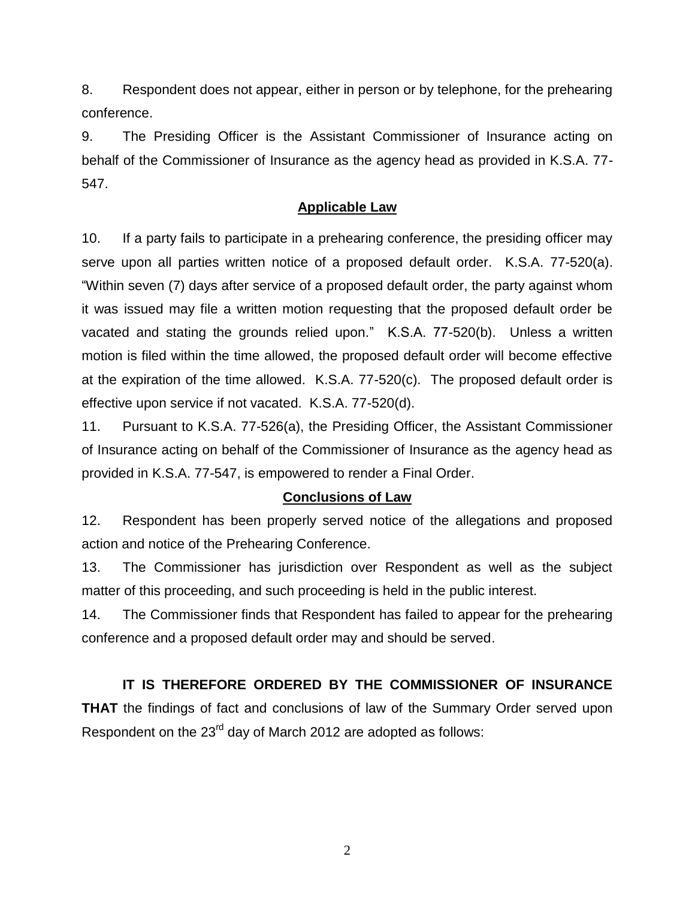8. Respondent does not appear, either in person or by telephone, for the prehearing conference.

9. The Presiding Officer is the Assistant Commissioner of Insurance acting on behalf of the Commissioner of Insurance as the agency head as provided in K.S.A. 77- 547.

### **Applicable Law**

10. If a party fails to participate in a prehearing conference, the presiding officer may serve upon all parties written notice of a proposed default order. K.S.A. 77-520(a). "Within seven (7) days after service of a proposed default order, the party against whom it was issued may file a written motion requesting that the proposed default order be vacated and stating the grounds relied upon." K.S.A. 77-520(b). Unless a written motion is filed within the time allowed, the proposed default order will become effective at the expiration of the time allowed. K.S.A. 77-520(c). The proposed default order is effective upon service if not vacated. K.S.A. 77-520(d).

11. Pursuant to K.S.A. 77-526(a), the Presiding Officer, the Assistant Commissioner of Insurance acting on behalf of the Commissioner of Insurance as the agency head as provided in K.S.A. 77-547, is empowered to render a Final Order.

### **Conclusions of Law**

12. Respondent has been properly served notice of the allegations and proposed action and notice of the Prehearing Conference.

13. The Commissioner has jurisdiction over Respondent as well as the subject matter of this proceeding, and such proceeding is held in the public interest.

14. The Commissioner finds that Respondent has failed to appear for the prehearing conference and a proposed default order may and should be served.

## **IT IS THEREFORE ORDERED BY THE COMMISSIONER OF INSURANCE**

**THAT** the findings of fact and conclusions of law of the Summary Order served upon Respondent on the 23<sup>rd</sup> day of March 2012 are adopted as follows: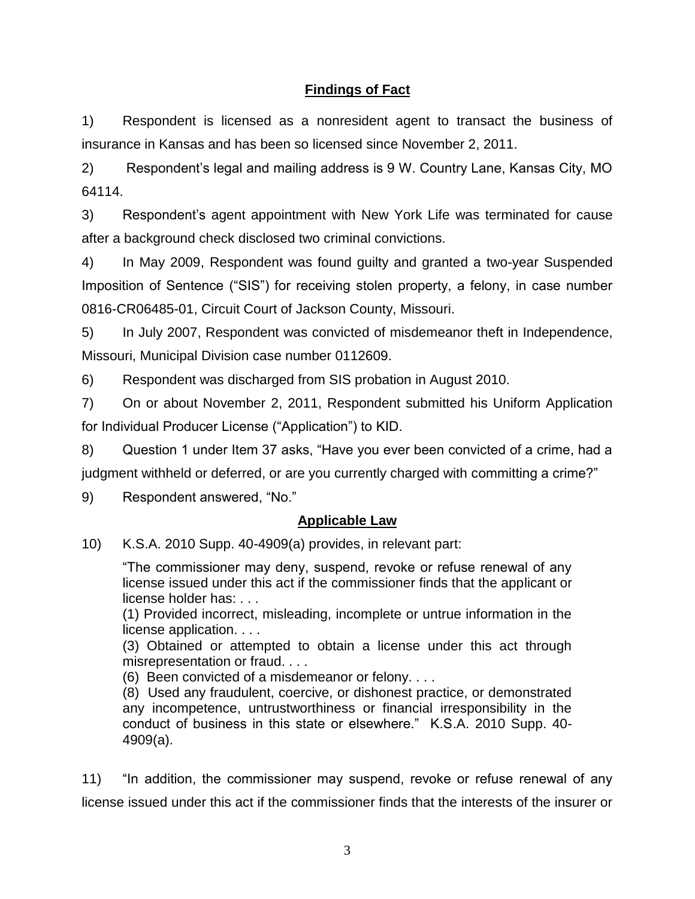# **Findings of Fact**

1) Respondent is licensed as a nonresident agent to transact the business of insurance in Kansas and has been so licensed since November 2, 2011.

2) Respondent's legal and mailing address is 9 W. Country Lane, Kansas City, MO 64114.

3) Respondent's agent appointment with New York Life was terminated for cause after a background check disclosed two criminal convictions.

4) In May 2009, Respondent was found guilty and granted a two-year Suspended Imposition of Sentence ("SIS") for receiving stolen property, a felony, in case number 0816-CR06485-01, Circuit Court of Jackson County, Missouri.

5) In July 2007, Respondent was convicted of misdemeanor theft in Independence, Missouri, Municipal Division case number 0112609.

6) Respondent was discharged from SIS probation in August 2010.

7) On or about November 2, 2011, Respondent submitted his Uniform Application for Individual Producer License ("Application") to KID.

8) Question 1 under Item 37 asks, "Have you ever been convicted of a crime, had a judgment withheld or deferred, or are you currently charged with committing a crime?"

9) Respondent answered, "No."

## **Applicable Law**

10) K.S.A. 2010 Supp. 40-4909(a) provides, in relevant part:

"The commissioner may deny, suspend, revoke or refuse renewal of any license issued under this act if the commissioner finds that the applicant or license holder has: . . .

(1) Provided incorrect, misleading, incomplete or untrue information in the license application. . . .

(3) Obtained or attempted to obtain a license under this act through misrepresentation or fraud. . . .

(6) Been convicted of a misdemeanor or felony. . . .

(8) Used any fraudulent, coercive, or dishonest practice, or demonstrated any incompetence, untrustworthiness or financial irresponsibility in the conduct of business in this state or elsewhere." K.S.A. 2010 Supp. 40- 4909(a).

11) "In addition, the commissioner may suspend, revoke or refuse renewal of any license issued under this act if the commissioner finds that the interests of the insurer or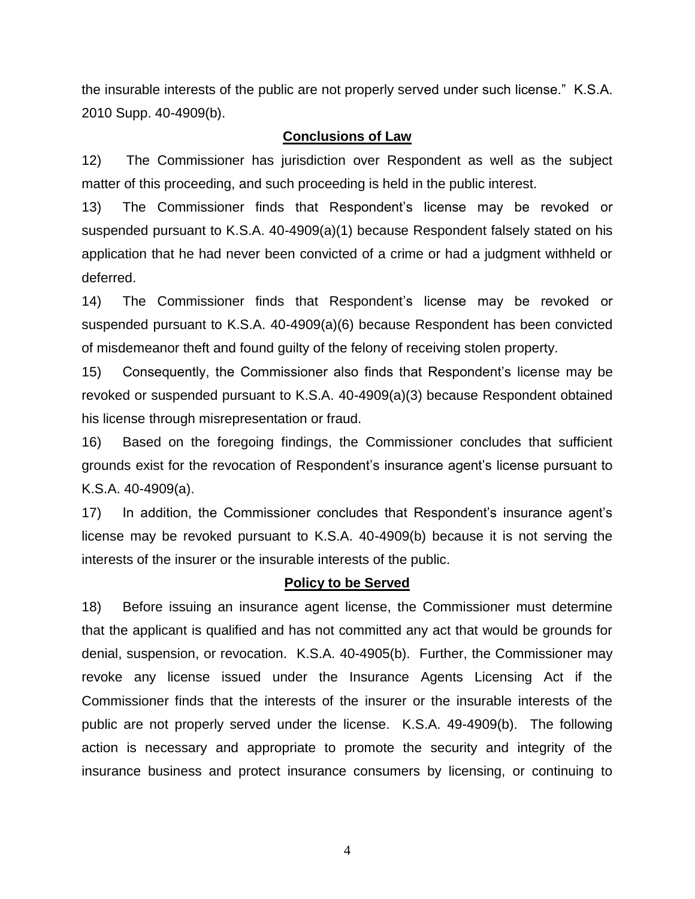the insurable interests of the public are not properly served under such license." K.S.A. 2010 Supp. 40-4909(b).

### **Conclusions of Law**

12) The Commissioner has jurisdiction over Respondent as well as the subject matter of this proceeding, and such proceeding is held in the public interest.

13) The Commissioner finds that Respondent's license may be revoked or suspended pursuant to K.S.A. 40-4909(a)(1) because Respondent falsely stated on his application that he had never been convicted of a crime or had a judgment withheld or deferred.

14) The Commissioner finds that Respondent's license may be revoked or suspended pursuant to K.S.A. 40-4909(a)(6) because Respondent has been convicted of misdemeanor theft and found guilty of the felony of receiving stolen property.

15) Consequently, the Commissioner also finds that Respondent's license may be revoked or suspended pursuant to K.S.A. 40-4909(a)(3) because Respondent obtained his license through misrepresentation or fraud.

16) Based on the foregoing findings, the Commissioner concludes that sufficient grounds exist for the revocation of Respondent's insurance agent's license pursuant to K.S.A. 40-4909(a).

17) In addition, the Commissioner concludes that Respondent's insurance agent's license may be revoked pursuant to K.S.A. 40-4909(b) because it is not serving the interests of the insurer or the insurable interests of the public.

#### **Policy to be Served**

18) Before issuing an insurance agent license, the Commissioner must determine that the applicant is qualified and has not committed any act that would be grounds for denial, suspension, or revocation. K.S.A. 40-4905(b). Further, the Commissioner may revoke any license issued under the Insurance Agents Licensing Act if the Commissioner finds that the interests of the insurer or the insurable interests of the public are not properly served under the license. K.S.A. 49-4909(b). The following action is necessary and appropriate to promote the security and integrity of the insurance business and protect insurance consumers by licensing, or continuing to

4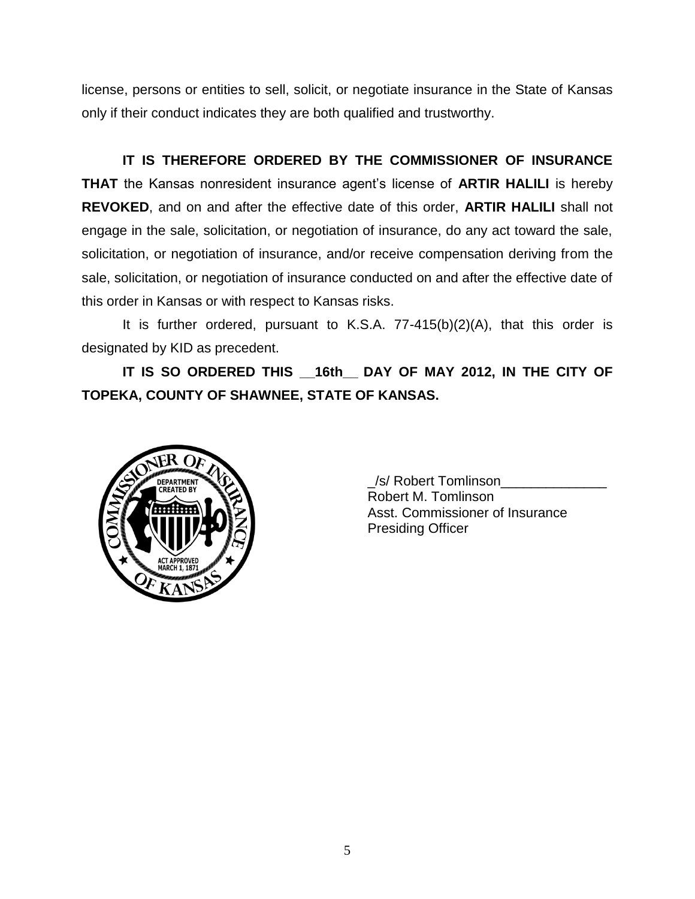license, persons or entities to sell, solicit, or negotiate insurance in the State of Kansas only if their conduct indicates they are both qualified and trustworthy.

**IT IS THEREFORE ORDERED BY THE COMMISSIONER OF INSURANCE THAT** the Kansas nonresident insurance agent's license of **ARTIR HALILI** is hereby **REVOKED**, and on and after the effective date of this order, **ARTIR HALILI** shall not engage in the sale, solicitation, or negotiation of insurance, do any act toward the sale, solicitation, or negotiation of insurance, and/or receive compensation deriving from the sale, solicitation, or negotiation of insurance conducted on and after the effective date of this order in Kansas or with respect to Kansas risks.

It is further ordered, pursuant to K.S.A. 77-415(b)(2)(A), that this order is designated by KID as precedent.

**IT IS SO ORDERED THIS \_\_16th\_\_ DAY OF MAY 2012, IN THE CITY OF TOPEKA, COUNTY OF SHAWNEE, STATE OF KANSAS.**



\_/s/ Robert Tomlinson\_\_\_\_\_\_\_\_\_\_\_\_\_\_ Robert M. Tomlinson Asst. Commissioner of Insurance Presiding Officer